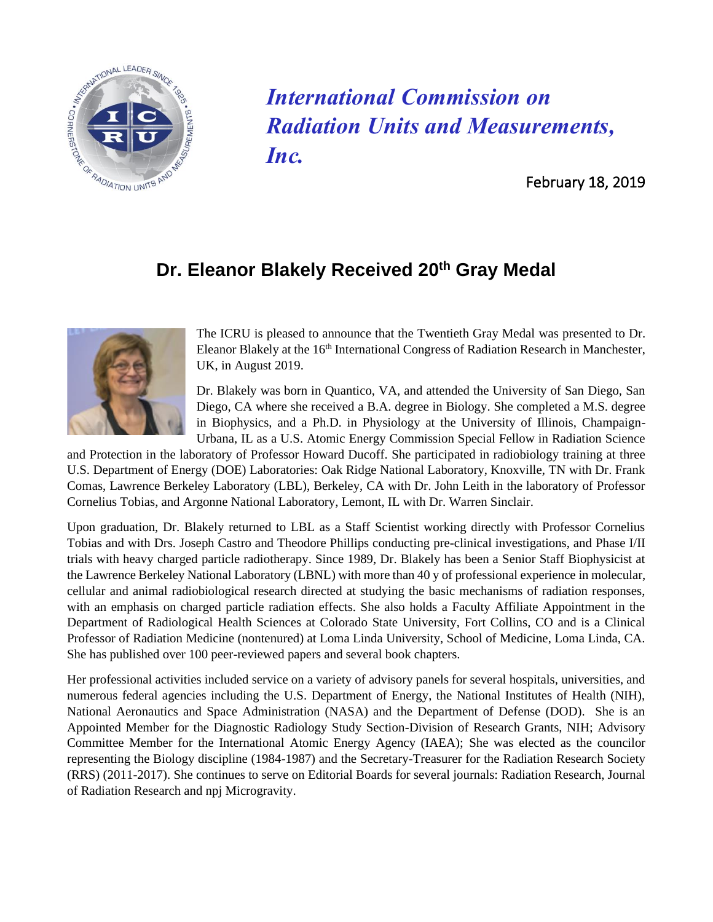

## *International Commission on Radiation Units and Measurements, Inc.*

February 18, 2019

## **Dr. Eleanor Blakely Received 20th Gray Medal**



The ICRU is pleased to announce that the Twentieth Gray Medal was presented to Dr. Eleanor Blakely at the 16<sup>th</sup> International Congress of Radiation Research in Manchester, UK, in August 2019.

Dr. Blakely was born in Quantico, VA, and attended the University of San Diego, San Diego, CA where she received a B.A. degree in Biology. She completed a M.S. degree in Biophysics, and a Ph.D. in Physiology at the University of Illinois, Champaign-Urbana, IL as a U.S. Atomic Energy Commission Special Fellow in Radiation Science

and Protection in the laboratory of Professor Howard Ducoff. She participated in radiobiology training at three U.S. Department of Energy (DOE) Laboratories: Oak Ridge National Laboratory, Knoxville, TN with Dr. Frank Comas, Lawrence Berkeley Laboratory (LBL), Berkeley, CA with Dr. John Leith in the laboratory of Professor Cornelius Tobias, and Argonne National Laboratory, Lemont, IL with Dr. Warren Sinclair.

Upon graduation, Dr. Blakely returned to LBL as a Staff Scientist working directly with Professor Cornelius Tobias and with Drs. Joseph Castro and Theodore Phillips conducting pre-clinical investigations, and Phase I/II trials with heavy charged particle radiotherapy. Since 1989, Dr. Blakely has been a Senior Staff Biophysicist at the Lawrence Berkeley National Laboratory (LBNL) with more than 40 y of professional experience in molecular, cellular and animal radiobiological research directed at studying the basic mechanisms of radiation responses, with an emphasis on charged particle radiation effects. She also holds a Faculty Affiliate Appointment in the Department of Radiological Health Sciences at Colorado State University, Fort Collins, CO and is a Clinical Professor of Radiation Medicine (nontenured) at Loma Linda University, School of Medicine, Loma Linda, CA. She has published over 100 peer-reviewed papers and several book chapters.

Her professional activities included service on a variety of advisory panels for several hospitals, universities, and numerous federal agencies including the U.S. Department of Energy, the National Institutes of Health (NIH), National Aeronautics and Space Administration (NASA) and the Department of Defense (DOD). She is an Appointed Member for the Diagnostic Radiology Study Section-Division of Research Grants, NIH; Advisory Committee Member for the International Atomic Energy Agency (IAEA); She was elected as the councilor representing the Biology discipline (1984-1987) and the Secretary-Treasurer for the Radiation Research Society (RRS) (2011-2017). She continues to serve on Editorial Boards for several journals: Radiation Research, Journal of Radiation Research and npj Microgravity.